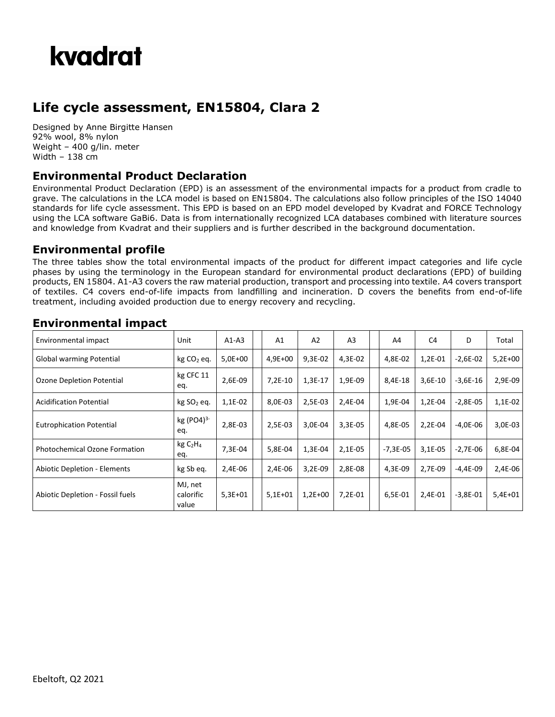

## **Life cycle assessment, EN15804, Clara 2**

Designed by Anne Birgitte Hansen 92% wool, 8% nylon Weight – 400 g/lin. meter Width – 138 cm

#### **Environmental Product Declaration**

Environmental Product Declaration (EPD) is an assessment of the environmental impacts for a product from cradle to grave. The calculations in the LCA model is based on EN15804. The calculations also follow principles of the ISO 14040 standards for life cycle assessment. This EPD is based on an EPD model developed by Kvadrat and FORCE Technology using the LCA software GaBi6. Data is from internationally recognized LCA databases combined with literature sources and knowledge from Kvadrat and their suppliers and is further described in the background documentation.

#### **Environmental profile**

The three tables show the total environmental impacts of the product for different impact categories and life cycle phases by using the terminology in the European standard for environmental product declarations (EPD) of building products, EN 15804. A1-A3 covers the raw material production, transport and processing into textile. A4 covers transport of textiles. C4 covers end-of-life impacts from landfilling and incineration. D covers the benefits from end-of-life treatment, including avoided production due to energy recovery and recycling.

| Environmental impact                 | Unit                                    | $A1-A3$     | A <sub>1</sub> | A2        | A <sub>3</sub> | A4         | C <sub>4</sub> | D            | Total     |
|--------------------------------------|-----------------------------------------|-------------|----------------|-----------|----------------|------------|----------------|--------------|-----------|
| Global warming Potential             | $kg CO2$ eq.                            | $5.0E + 00$ | $4,9E+00$      | 9,3E-02   | 4,3E-02        | 4,8E-02    | 1,2E-01        | $-2,6E-02$   | $5,2E+00$ |
| Ozone Depletion Potential            | kg CFC 11<br>eq.                        | 2,6E-09     | $7.2E-10$      | 1,3E-17   | 1,9E-09        | 8,4E-18    | 3,6E-10        | $-3,6E-16$   | 2,9E-09   |
| <b>Acidification Potential</b>       | kg SO <sub>2</sub> eq.                  | 1,1E-02     | 8,0E-03        | 2,5E-03   | 2,4E-04        | 1,9E-04    | 1,2E-04        | $-2.8E - 05$ | $1,1E-02$ |
| <b>Eutrophication Potential</b>      | kg (PO4) <sup>3-</sup><br>eq.           | 2,8E-03     | 2.5E-03        | 3,0E-04   | 3,3E-05        | 4,8E-05    | 2,2E-04        | $-4.0E - 06$ | 3,0E-03   |
| <b>Photochemical Ozone Formation</b> | kg C <sub>2</sub> H <sub>4</sub><br>eq. | 7,3E-04     | 5,8E-04        | 1,3E-04   | 2,1E-05        | $-7,3E-05$ | 3,1E-05        | $-2,7E-06$   | 6,8E-04   |
| <b>Abiotic Depletion - Elements</b>  | kg Sb eq.                               | 2,4E-06     | 2,4E-06        | $3,2E-09$ | 2,8E-08        | 4,3E-09    | 2,7E-09        | $-4,4E-09$   | 2,4E-06   |
| Abiotic Depletion - Fossil fuels     | MJ, net<br>calorific<br>value           | $5,3E+01$   | $5,1E+01$      | $1,2E+00$ | 7,2E-01        | 6,5E-01    | 2,4E-01        | $-3,8E-01$   | $5,4E+01$ |

### **Environmental impact**